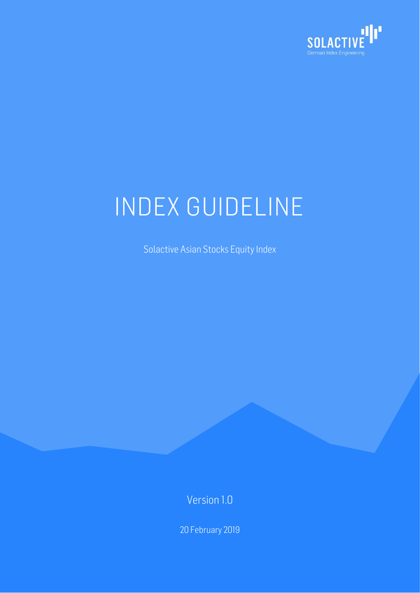

Solactive Asian Stocks Equity Index

Version 1.0

20 February 2019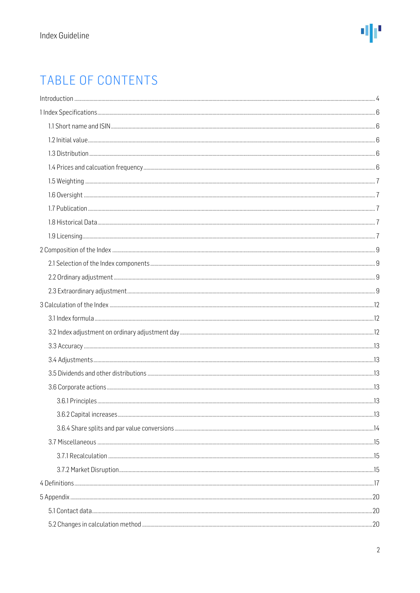### TABLE OF CONTENTS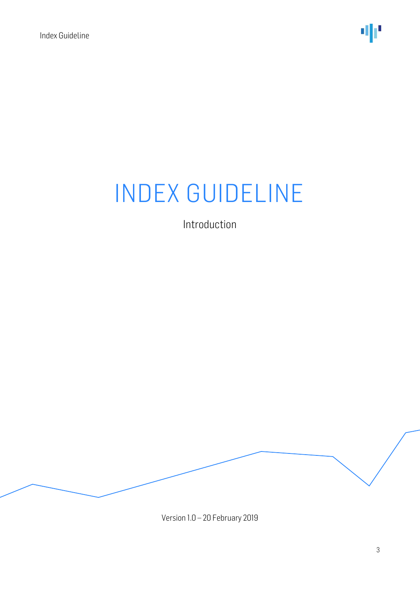Introduction

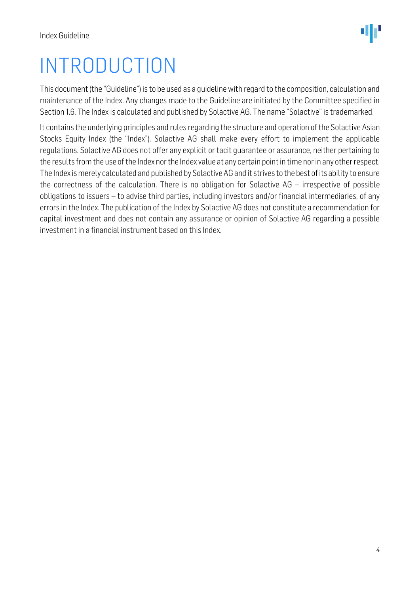## <span id="page-3-0"></span>INTRODUCTION

This document (the "Guideline") is to be used as a guideline with regard to the composition, calculation and maintenance of the Index. Any changes made to the Guideline are initiated by the Committee specified in Section 1.6. The Index is calculated and published by Solactive AG. The name "Solactive" is trademarked.

It contains the underlying principles and rules regarding the structure and operation of the Solactive Asian Stocks Equity Index (the "Index"). Solactive AG shall make every effort to implement the applicable regulations. Solactive AG does not offer any explicit or tacit guarantee or assurance, neither pertaining to the results from the use of the Index nor the Index value at any certain point in time nor in any other respect. The Index is merely calculated and published by Solactive AG and it strives to the best of its ability to ensure the correctness of the calculation. There is no obligation for Solactive AG – irrespective of possible obligations to issuers – to advise third parties, including investors and/or financial intermediaries, of any errors in the Index. The publication of the Index by Solactive AG does not constitute a recommendation for capital investment and does not contain any assurance or opinion of Solactive AG regarding a possible investment in a financial instrument based on this Index.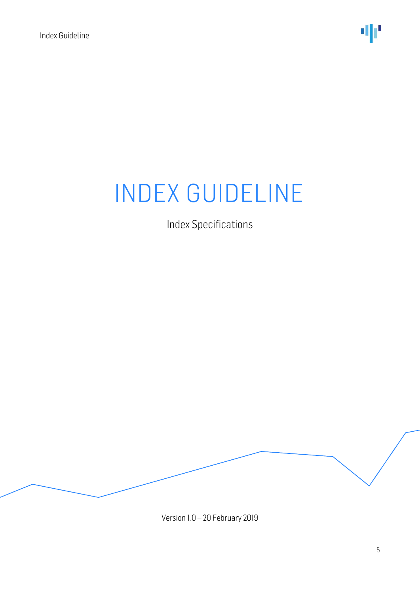Index Specifications

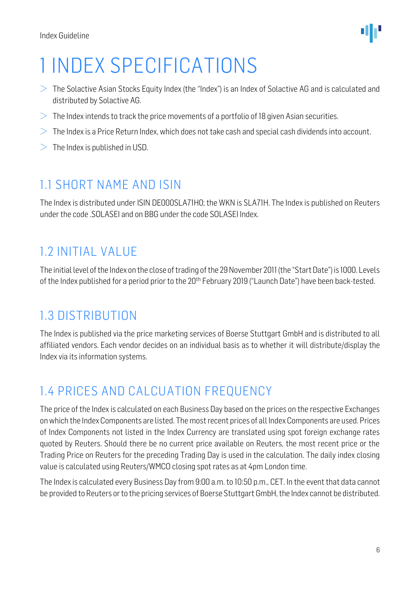

## <span id="page-5-0"></span>1 INDEX SPECIFICATIONS

- $>$  The Solactive Asian Stocks Equity Index (the "Index") is an Index of Solactive AG and is calculated and distributed by Solactive AG.
- $>$  The Index intends to track the price movements of a portfolio of 18 given Asian securities.
- $>$  The Index is a Price Return Index, which does not take cash and special cash dividends into account.
- $>$  The Index is published in USD.

### <span id="page-5-1"></span>1.1 SHORT NAME AND ISIN

The Index is distributed under ISIN DE000SLA71H0; the WKN is SLA71H. The Index is published on Reuters under the code .SOLASEI and on BBG under the code SOLASEI Index.

### <span id="page-5-2"></span>1.2 INITIAL VALUE

The initial level of the Index on the close of trading of the 29 November 2011 (the "Start Date") is 1000. Levels of the Index published for a period prior to the 20<sup>th</sup> February 2019 ("Launch Date") have been back-tested.

### <span id="page-5-3"></span>1.3 DISTRIBUTION

The Index is published via the price marketing services of Boerse Stuttgart GmbH and is distributed to all affiliated vendors. Each vendor decides on an individual basis as to whether it will distribute/display the Index via its information systems.

### <span id="page-5-4"></span>1.4 PRICES AND CALCUATION FREQUENCY

The price of the Index is calculated on each Business Day based on the prices on the respective Exchanges on which the Index Components are listed. The most recent prices of all Index Components are used. Prices of Index Components not listed in the Index Currency are translated using spot foreign exchange rates quoted by Reuters. Should there be no current price available on Reuters, the most recent price or the Trading Price on Reuters for the preceding Trading Day is used in the calculation. The daily index closing value is calculated using Reuters/WMCO closing spot rates as at 4pm London time.

The Index is calculated every Business Day from 9:00 a.m. to 10:50 p.m., CET. In the event that data cannot be provided to Reuters or to the pricing services of Boerse Stuttgart GmbH, the Index cannot be distributed.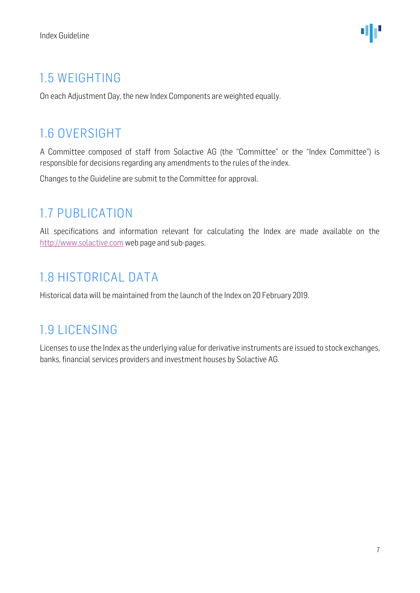### <span id="page-6-0"></span>1.5 WEIGHTING

On each Adjustment Day, the new Index Components are weighted equally.

### <span id="page-6-1"></span>1.6 OVERSIGHT

A Committee composed of staff from Solactive AG (the "Committee" or the "Index Committee") is responsible for decisions regarding any amendments to the rules of the index.

Changes to the Guideline are submit to the Committee for approval.

### <span id="page-6-2"></span>1.7 PUBLICATION

All specifications and information relevant for calculating the Index are made available on the [http://www.solactive.com](http://www.solactive.com/) web page and sub-pages.

### <span id="page-6-3"></span>1.8 HISTORICAL DATA

Historical data will be maintained from the launch of the Index on 20 February 2019.

### <span id="page-6-4"></span>1.9 LICENSING

Licenses to use the Index as the underlying value for derivative instruments are issued to stock exchanges, banks, financial services providers and investment houses by Solactive AG.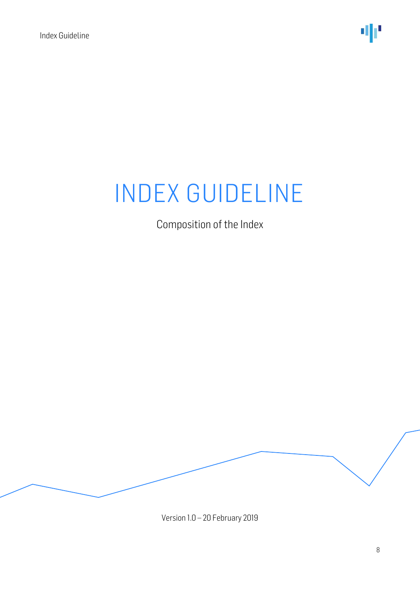Composition of the Index

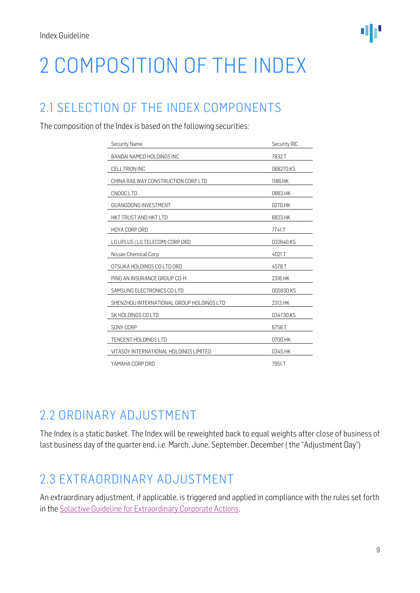## <span id="page-8-0"></span>2 COMPOSITION OF THE INDEX

### <span id="page-8-1"></span>2.1 SELECTION OF THE INDEX COMPONENTS

The composition of the Index is based on the following securities:

| <b>Security Name</b>                      | Security RIC |
|-------------------------------------------|--------------|
| BANDAI NAMCO HOLDINGS INC                 | 7832.T       |
| CELLTRION INC                             | 068270.KS    |
| CHINA RAILWAY CONSTRUCTION CORP LTD       | 1186.HK      |
| CNOOC LTD                                 | 0883.HK      |
| <b>GUANGDONG INVESTMENT</b>               | 0270.HK      |
| HKT TRUST AND HKT LTD                     | 6823.HK      |
| HOYA CORP ORD                             | 7741.T       |
| LG UPLUS (LG TELECOM) CORP ORD            | 032640.KS    |
| Nissan Chemical Corp                      | 4021.T       |
| OTSUKA HOLDINGS CO LTD ORD                | 4578.T       |
| PING AN INSURANCE GROUP CO-H              | 2318.HK      |
| SAMSUNG ELECTRONICS COLTD                 | 005930.KS    |
| SHENZHOU INTERNATIONAL GROUP HOLDINGS LTD | 2313.HK      |
| SK HOLDINGS CO LTD                        | 034730.KS    |
| SONY CORP                                 | 6758.T       |
| TENCENT HOLDINGS LTD                      | 0700.HK      |
| VITASOY INTERNATIONAL HOLDINGS LIMITED    | 0345.HK      |
| YAMAHA CORP ORD                           | 7951.T       |

### <span id="page-8-2"></span>2.2 ORDINARY ADJUSTMENT

The Index is a static basket. The Index will be reweighted back to equal weights after close of business of last business day of the quarter end, i.e. March, June, September, December ( the "Adjustment Day")

### <span id="page-8-3"></span>2.3 EXTRAORDINARY ADJUSTMENT

An extraordinary adjustment, if applicable, is triggered and applied in compliance with the rules set forth in th[e Solactive Guideline for Extraordinary Corporate Actions.](http://www.solactive.com/news/documents/)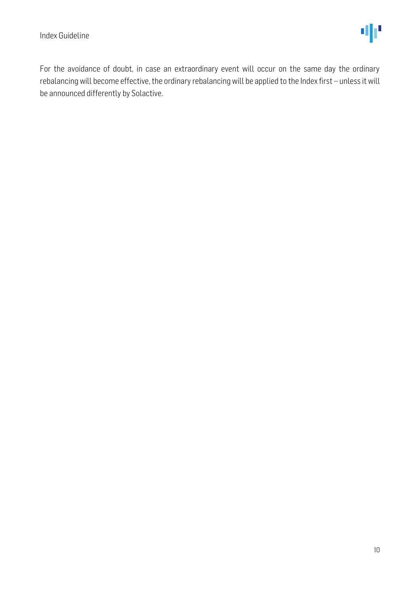For the avoidance of doubt, in case an extraordinary event will occur on the same day the ordinary rebalancing will become effective, the ordinary rebalancing will be applied to the Index first – unless it will be announced differently by Solactive.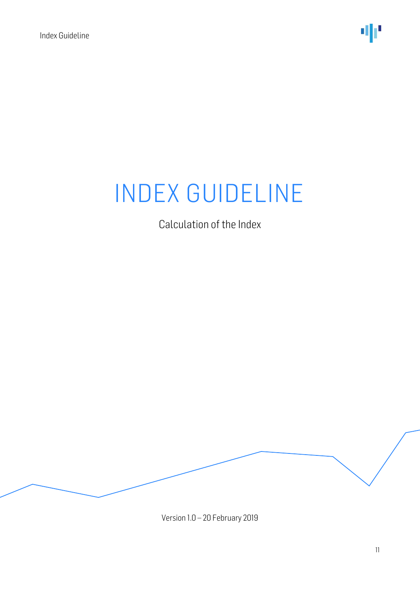Calculation of the Index

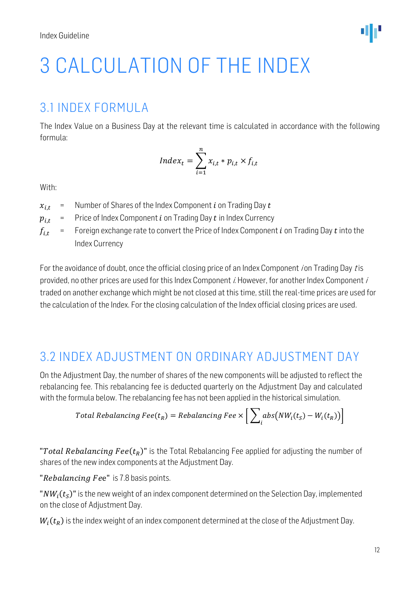## <span id="page-11-0"></span>3 CALCULATION OF THE INDEX

### <span id="page-11-1"></span>3.1 INDEX FORMULA

The Index Value on a Business Day at the relevant time is calculated in accordance with the following formula:

$$
Index_t = \sum_{i=1}^{n} x_{i,t} * p_{i,t} \times f_{i,t}
$$

With:

- $x_{i,t}$  = Number of Shares of the Index Component *i* on Trading Day *t*
- $p_{i,t}$  = Price of Index Component *i* on Trading Day *t* in Index Currency
- $f_{i,t}$  = Foreign exchange rate to convert the Price of Index Component *i* on Trading Day *t* into the Index Currency

For the avoidance of doubt, once the official closing price of an Index Component ion Trading Day tis provided, no other prices are used for this Index Component i. However, for another Index Component i traded on another exchange which might be not closed at this time, still the real-time prices are used for the calculation of the Index. For the closing calculation of the Index official closing prices are used.

### <span id="page-11-2"></span>3.2 INDEX ADJUSTMENT ON ORDINARY ADJUSTMENT DAY

On the Adjustment Day, the number of shares of the new components will be adjusted to reflect the rebalancing fee. This rebalancing fee is deducted quarterly on the Adjustment Day and calculated with the formula below. The rebalancing fee has not been applied in the historical simulation.

Total Rebalancing 
$$
Fee(t_R) = Rebalancing \, Fee \times \left[ \sum_i abs(NW_i(t_S) - W_i(t_R)) \right]
$$

"Total Rebalancing Fee $(t_R)$ " is the Total Rebalancing Fee applied for adjusting the number of shares of the new index components at the Adjustment Day.

"Rebalancing Fee" is 7.8 basis points.

" $NW_i(t_\mathcal{S})$ " is the new weight of an index component determined on the Selection Day, implemented on the close of Adjustment Day.

 $W_i(t_R)$  is the index weight of an index component determined at the close of the Adjustment Day.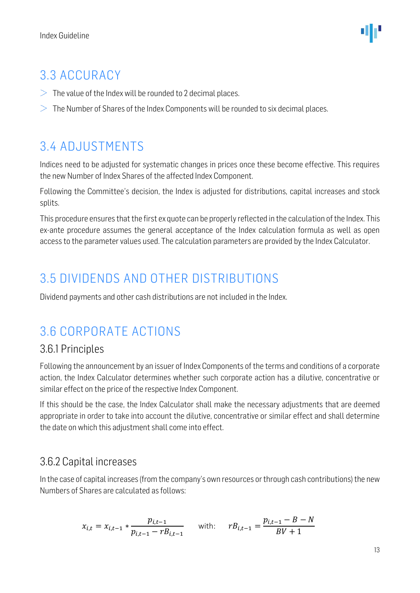### <span id="page-12-0"></span>3.3 ACCURACY

- $>$  The value of the Index will be rounded to 2 decimal places.
- $>$  The Number of Shares of the Index Components will be rounded to six decimal places.

### <span id="page-12-1"></span>3.4 ADJUSTMENTS

Indices need to be adjusted for systematic changes in prices once these become effective. This requires the new Number of Index Shares of the affected Index Component.

Following the Committee's decision, the Index is adjusted for distributions, capital increases and stock splits.

This procedure ensures that the first ex quote can be properly reflected in the calculation of the Index. This ex-ante procedure assumes the general acceptance of the Index calculation formula as well as open access to the parameter values used. The calculation parameters are provided by the Index Calculator.

### <span id="page-12-2"></span>3.5 DIVIDENDS AND OTHER DISTRIBUTIONS

Dividend payments and other cash distributions are not included in the Index.

### <span id="page-12-3"></span>3.6 CORPORATE ACTIONS

#### <span id="page-12-4"></span>3.6.1 Principles

Following the announcement by an issuer of Index Components of the terms and conditions of a corporate action, the Index Calculator determines whether such corporate action has a dilutive, concentrative or similar effect on the price of the respective Index Component.

If this should be the case, the Index Calculator shall make the necessary adjustments that are deemed appropriate in order to take into account the dilutive, concentrative or similar effect and shall determine the date on which this adjustment shall come into effect.

#### <span id="page-12-5"></span>3.6.2 Capital increases

In the case of capital increases (from the company's own resources or through cash contributions) the new Numbers of Shares are calculated as follows:

$$
x_{i,t} = x_{i,t-1} * \frac{p_{i,t-1}}{p_{i,t-1} - rB_{i,t-1}} \quad \text{with:} \quad rB_{i,t-1} = \frac{p_{i,t-1} - B - N}{BV + 1}
$$

13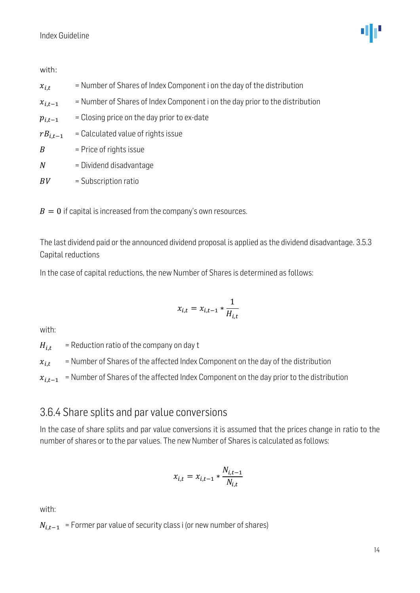with:

- $x_{i,t}$  = Number of Shares of Index Component i on the day of the distribution
- $x_{i,t-1}$  = Number of Shares of Index Component i on the day prior to the distribution
- $p_{i,t-1}$  = Closing price on the day prior to ex-date
- $rB_{i.t-1}$  = Calculated value of rights issue
- $B =$  Price of rights issue
- $N =$  Dividend disadvantage
- $BV =$  Subscription ratio

 $B = 0$  if capital is increased from the company's own resources.

The last dividend paid or the announced dividend proposal is applied as the dividend disadvantage. 3.5.3 Capital reductions

In the case of capital reductions, the new Number of Shares is determined as follows:

$$
x_{i,t} = x_{i,t-1} * \frac{1}{H_{i,t}}
$$

with:

 $H_{i,t}$  = Reduction ratio of the company on day t

 $x_{i,t}$  = Number of Shares of the affected Index Component on the day of the distribution

 $x_{i,t-1}$  = Number of Shares of the affected Index Component on the day prior to the distribution

#### <span id="page-13-0"></span>3.6.4 Share splits and par value conversions

In the case of share splits and par value conversions it is assumed that the prices change in ratio to the number of shares or to the par values. The new Number of Shares is calculated as follows:

$$
x_{i,t} = x_{i,t-1} * \frac{N_{i,t-1}}{N_{i,t}}
$$

with:

 $N_{i,t-1}$  = Former par value of security class i (or new number of shares)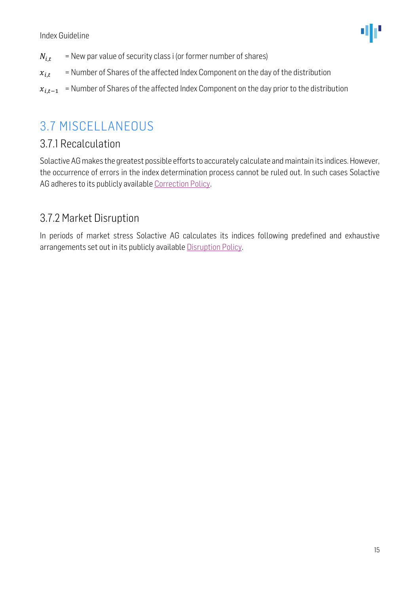- $N_{i,t}$  = New par value of security class i (or former number of shares)
- $x_{i,t}$  = Number of Shares of the affected Index Component on the day of the distribution
- $x_{i,t-1}$  = Number of Shares of the affected Index Component on the day prior to the distribution

### <span id="page-14-0"></span>3.7 MISCELLANEOUS

#### <span id="page-14-1"></span>3.7.1 Recalculation

Solactive AG makes the greatest possible efforts to accurately calculate and maintain its indices. However, the occurrence of errors in the index determination process cannot be ruled out. In such cases Solactive AG adheres to its publicly available [Correction Policy.](http://www.solactive.com/news/documents/)

#### <span id="page-14-2"></span>3.7.2 Market Disruption

In periods of market stress Solactive AG calculates its indices following predefined and exhaustive arrangements set out in its publicly available [Disruption Policy.](http://www.solactive.com/news/documents/)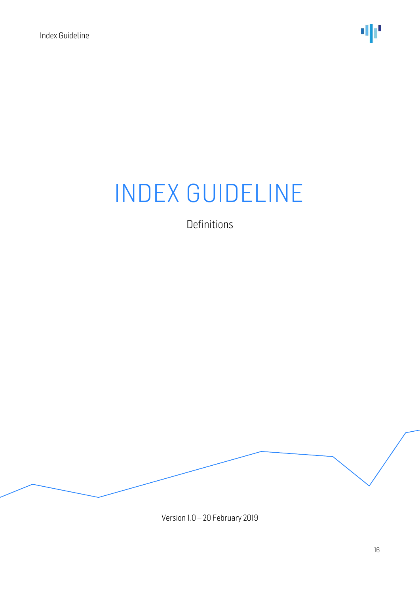Definitions

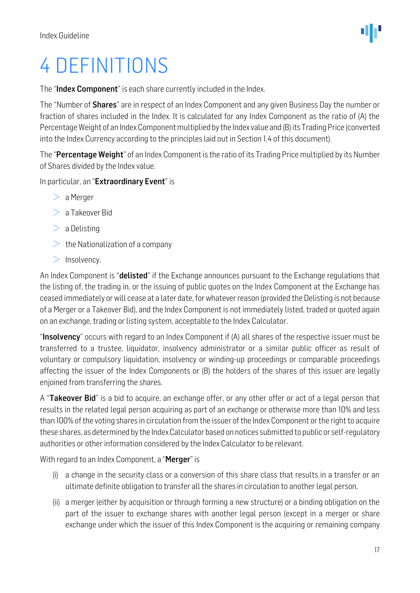## <span id="page-16-0"></span>4 DEFINITIONS

The "Index Component" is each share currently included in the Index.

The "Number of **Shares**" are in respect of an Index Component and any given Business Day the number or fraction of shares included in the Index. It is calculated for any Index Component as the ratio of (A) the Percentage Weight of an Index Component multiplied by the Index value and (B) its Trading Price (converted into the Index Currency according to the principles laid out in Section 1.4 of this document).

The "Percentage Weight" of an Index Component is the ratio of its Trading Price multiplied by its Number of Shares divided by the Index value.

In particular, an "Extraordinary Event" is

- $> a$  Merger
- $> a$  Takeover Bid
- $>$  a Delisting
- $\geq$  the Nationalization of a company
- $>$  Insolvency.

An Index Component is "**delisted**" if the Exchange announces pursuant to the Exchange regulations that the listing of, the trading in, or the issuing of public quotes on the Index Component at the Exchange has ceased immediately or will cease at a later date, for whatever reason (provided the Delisting is not because of a Merger or a Takeover Bid), and the Index Component is not immediately listed, traded or quoted again on an exchange, trading or listing system, acceptable to the Index Calculator.

"Insolvency" occurs with regard to an Index Component if (A) all shares of the respective issuer must be transferred to a trustee, liquidator, insolvency administrator or a similar public officer as result of voluntary or compulsory liquidation, insolvency or winding-up proceedings or comparable proceedings affecting the issuer of the Index Components or (B) the holders of the shares of this issuer are legally enjoined from transferring the shares.

A "Takeover Bid" is a bid to acquire, an exchange offer, or any other offer or act of a legal person that results in the related legal person acquiring as part of an exchange or otherwise more than 10% and less than 100% of the voting shares in circulation from the issuer of the Index Component or the right to acquire these shares, as determined by the Index Calculator based on notices submitted to public or self-regulatory authorities or other information considered by the Index Calculator to be relevant.

With regard to an Index Component, a "Merger" is

- (i) a change in the security class or a conversion of this share class that results in a transfer or an ultimate definite obligation to transfer all the shares in circulation to another legal person,
- (ii) a merger (either by acquisition or through forming a new structure) or a binding obligation on the part of the issuer to exchange shares with another legal person (except in a merger or share exchange under which the issuer of this Index Component is the acquiring or remaining company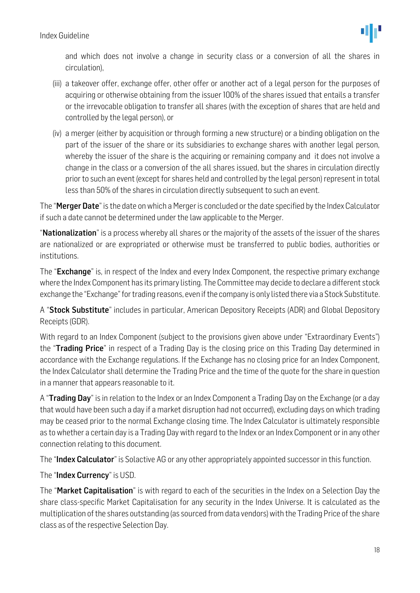and which does not involve a change in security class or a conversion of all the shares in circulation),

- (iii) a takeover offer, exchange offer, other offer or another act of a legal person for the purposes of acquiring or otherwise obtaining from the issuer 100% of the shares issued that entails a transfer or the irrevocable obligation to transfer all shares (with the exception of shares that are held and controlled by the legal person), or
- (iv) a merger (either by acquisition or through forming a new structure) or a binding obligation on the part of the issuer of the share or its subsidiaries to exchange shares with another legal person, whereby the issuer of the share is the acquiring or remaining company and it does not involve a change in the class or a conversion of the all shares issued, but the shares in circulation directly prior to such an event (except for shares held and controlled by the legal person) represent in total less than 50% of the shares in circulation directly subsequent to such an event.

The "Merger Date" is the date on which a Merger is concluded or the date specified by the Index Calculator if such a date cannot be determined under the law applicable to the Merger.

"Nationalization" is a process whereby all shares or the majority of the assets of the issuer of the shares are nationalized or are expropriated or otherwise must be transferred to public bodies, authorities or institutions.

The "Exchange" is, in respect of the Index and every Index Component, the respective primary exchange where the Index Component has its primary listing. The Committee may decide to declare a different stock exchange the "Exchange" for trading reasons, even if the company is only listed there via a Stock Substitute.

A "Stock Substitute" includes in particular, American Depository Receipts (ADR) and Global Depository Receipts (GDR).

With regard to an Index Component (subject to the provisions given above under "Extraordinary Events") the "Trading Price" in respect of a Trading Day is the closing price on this Trading Day determined in accordance with the Exchange regulations. If the Exchange has no closing price for an Index Component, the Index Calculator shall determine the Trading Price and the time of the quote for the share in question in a manner that appears reasonable to it.

A "**Trading Day**" is in relation to the Index or an Index Component a Trading Day on the Exchange (or a day that would have been such a day if a market disruption had not occurred), excluding days on which trading may be ceased prior to the normal Exchange closing time. The Index Calculator is ultimately responsible as to whether a certain day is a Trading Day with regard to the Index or an Index Component or in any other connection relating to this document.

The "Index Calculator" is Solactive AG or any other appropriately appointed successor in this function.

The "Index Currency" is USD.

The "Market Capitalisation" is with regard to each of the securities in the Index on a Selection Day the share class-specific Market Capitalisation for any security in the Index Universe. It is calculated as the multiplication of the shares outstanding (as sourced from data vendors) with the Trading Price of the share class as of the respective Selection Day.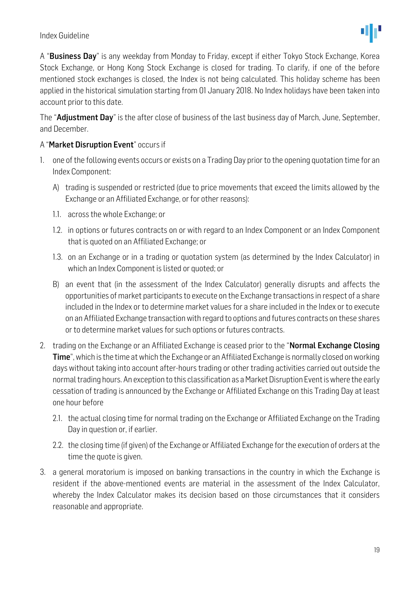

A "Business Day" is any weekday from Monday to Friday, except if either Tokyo Stock Exchange, Korea Stock Exchange, or Hong Kong Stock Exchange is closed for trading. To clarify, if one of the before mentioned stock exchanges is closed, the Index is not being calculated. This holiday scheme has been applied in the historical simulation starting from 01 January 2018. No Index holidays have been taken into account prior to this date.

The "Adjustment Day" is the after close of business of the last business day of March, June, September, and December.

#### A "Market Disruption Event" occurs if

- 1. one of the following events occurs or exists on a Trading Day prior to the opening quotation time for an Index Component:
	- A) trading is suspended or restricted (due to price movements that exceed the limits allowed by the Exchange or an Affiliated Exchange, or for other reasons):
	- 1.1. across the whole Exchange; or
	- 1.2. in options or futures contracts on or with regard to an Index Component or an Index Component that is quoted on an Affiliated Exchange; or
	- 1.3. on an Exchange or in a trading or quotation system (as determined by the Index Calculator) in which an Index Component is listed or quoted; or
	- B) an event that (in the assessment of the Index Calculator) generally disrupts and affects the opportunities of market participants to execute on the Exchange transactions in respect of a share included in the Index or to determine market values for a share included in the Index or to execute on an Affiliated Exchange transaction with regard to options and futures contracts on these shares or to determine market values for such options or futures contracts.
- 2. trading on the Exchange or an Affiliated Exchange is ceased prior to the "**Normal Exchange Closing** Time", which is the time at which the Exchange or an Affiliated Exchange is normally closed on working days without taking into account after-hours trading or other trading activities carried out outside the normal trading hours. An exception to this classification as a Market Disruption Event is where the early cessation of trading is announced by the Exchange or Affiliated Exchange on this Trading Day at least one hour before
	- 2.1. the actual closing time for normal trading on the Exchange or Affiliated Exchange on the Trading Day in question or, if earlier.
	- 2.2. the closing time (if given) of the Exchange or Affiliated Exchange for the execution of orders at the time the quote is given.
- 3. a general moratorium is imposed on banking transactions in the country in which the Exchange is resident if the above-mentioned events are material in the assessment of the Index Calculator, whereby the Index Calculator makes its decision based on those circumstances that it considers reasonable and appropriate.